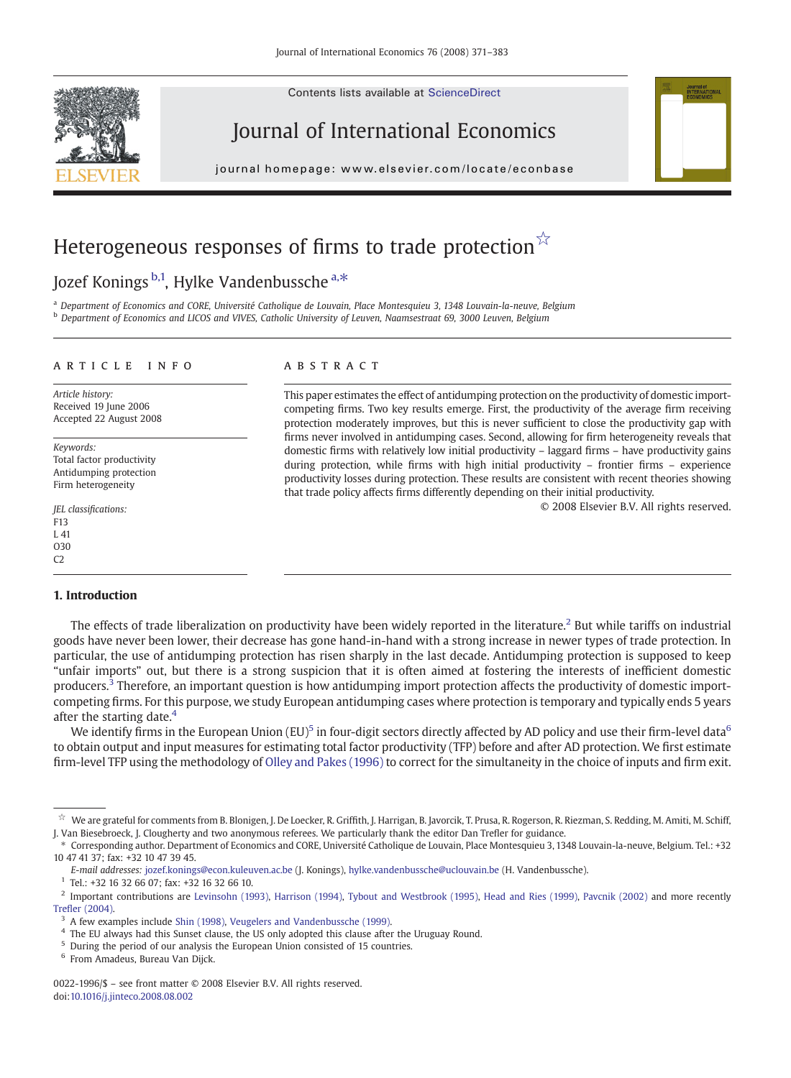Contents lists available at ScienceDirect





j o u r n a l h om e p a g e : www. e l s ev i e r. c om / l o c a t e / e c o n b a s e

## Heterogeneous responses of firms to trade protection $\hat{X}$

### Jozef Konings  $b,1$ , Hylke Vandenbussche  $a,*$

<sup>a</sup> Department of Economics and CORE, Université Catholique de Louvain, Place Montesquieu 3, 1348 Louvain-la-neuve, Belgium b Department of Economics and LICOS and VIVES, Catholic University of Leuven, Naamsestraat 69, 3000 Leuven, Belgium

#### article info abstract

Article history: Received 19 June 2006 Accepted 22 August 2008

Keywords: Total factor productivity Antidumping protection Firm heterogeneity

JEL classifications: F13 L 41 O30  $C<sub>2</sub>$ 

### 1. Introduction

This paper estimates the effect of antidumping protection on the productivity of domestic importcompeting firms. Two key results emerge. First, the productivity of the average firm receiving protection moderately improves, but this is never sufficient to close the productivity gap with firms never involved in antidumping cases. Second, allowing for firm heterogeneity reveals that domestic firms with relatively low initial productivity – laggard firms – have productivity gains during protection, while firms with high initial productivity – frontier firms – experience productivity losses during protection. These results are consistent with recent theories showing that trade policy affects firms differently depending on their initial productivity.

© 2008 Elsevier B.V. All rights reserved.

The effects of trade liberalization on productivity have been widely reported in the literature.<sup>2</sup> But while tariffs on industrial goods have never been lower, their decrease has gone hand-in-hand with a strong increase in newer types of trade protection. In particular, the use of antidumping protection has risen sharply in the last decade. Antidumping protection is supposed to keep "unfair imports" out, but there is a strong suspicion that it is often aimed at fostering the interests of inefficient domestic producers.3 Therefore, an important question is how antidumping import protection affects the productivity of domestic importcompeting firms. For this purpose, we study European antidumping cases where protection is temporary and typically ends 5 years after the starting date. $4$ 

We identify firms in the European Union (EU)<sup>5</sup> in four-digit sectors directly affected by AD policy and use their firm-level data<sup>6</sup> to obtain output and input measures for estimating total factor productivity (TFP) before and after AD protection. We first estimate firm-level TFP using the methodology of [Olley and Pakes \(1996\)](#page--1-0) to correct for the simultaneity in the choice of inputs and firm exit.

 $\forall$  We are grateful for comments from B. Blonigen, J. De Loecker, R. Griffith, J. Harrigan, B. Javorcik, T. Prusa, R. Rogerson, R. Riezman, S. Redding, M. Amiti, M. Schiff, J. Van Biesebroeck, J. Clougherty and two anonymous referees. We particularly thank the editor Dan Trefler for guidance.

<sup>⁎</sup> Corresponding author. Department of Economics and CORE, Université Catholique de Louvain, Place Montesquieu 3, 1348 Louvain-la-neuve, Belgium. Tel.: +32 10 47 41 37; fax: +32 10 47 39 45.

E-mail addresses: [jozef.konings@econ.kuleuven.ac.be](mailto:jozef.konings@econ.kuleuven.ac.be) (J. Konings), [hylke.vandenbussche@uclouvain.be](mailto:hylke.vandenbussche@uclouvain.be) (H. Vandenbussche).

<sup>1</sup> Tel.: +32 16 32 66 07; fax: +32 16 32 66 10.

 $^2$  Important contributions are [Levinsohn \(1993\),](#page--1-0) [Harrison \(1994\),](#page--1-0) [Tybout and Westbrook \(1995\),](#page--1-0) [Head and Ries \(1999\)](#page--1-0), [Pavcnik \(2002\)](#page--1-0) and more recently Trefl[er \(2004\).](#page--1-0)

<sup>&</sup>lt;sup>3</sup> A few examples include [Shin \(1998\),](#page--1-0) [Veugelers and Vandenbussche \(1999\)](#page--1-0).

<sup>4</sup> The EU always had this Sunset clause, the US only adopted this clause after the Uruguay Round.

<sup>&</sup>lt;sup>5</sup> During the period of our analysis the European Union consisted of 15 countries.

<sup>6</sup> From Amadeus, Bureau Van Dijck.

<sup>0022-1996/\$</sup> – see front matter © 2008 Elsevier B.V. All rights reserved. doi[:10.1016/j.jinteco.2008.08.002](http://dx.doi.org/10.1016/j.jinteco.2008.08.002)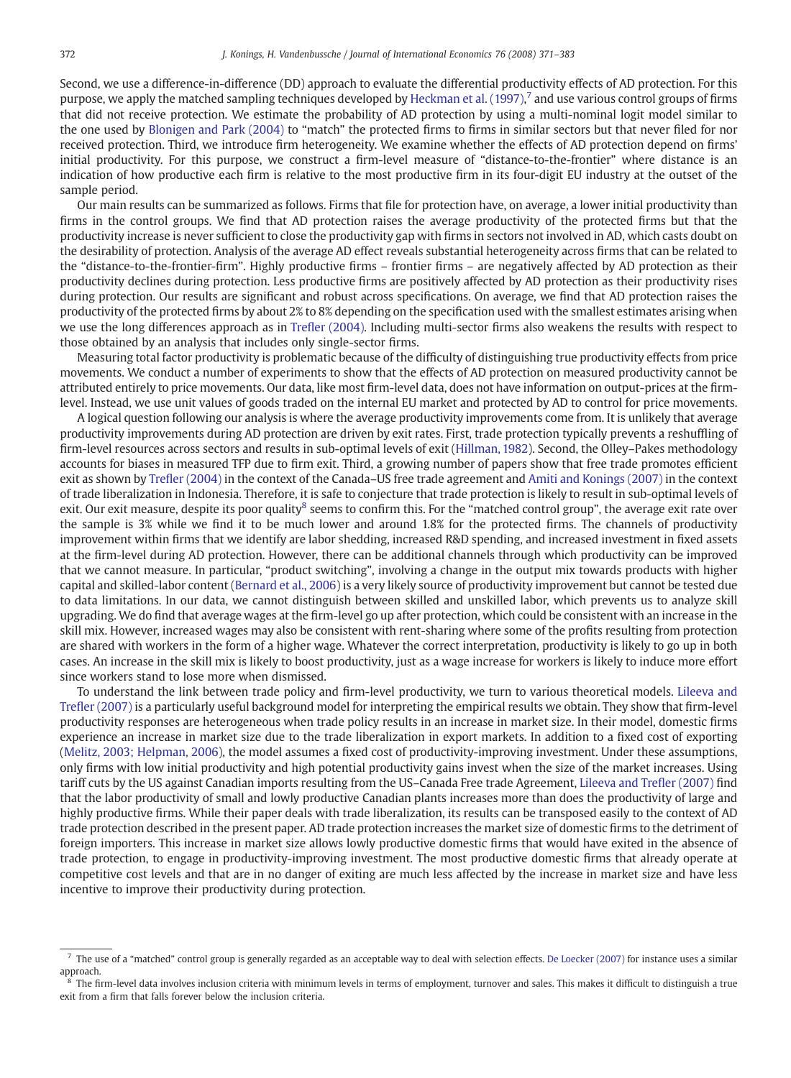Second, we use a difference-in-difference (DD) approach to evaluate the differential productivity effects of AD protection. For this purpose, we apply the matched sampling techniques developed by [Heckman et al. \(1997\),](#page--1-0)<sup>7</sup> and use various control groups of firms that did not receive protection. We estimate the probability of AD protection by using a multi-nominal logit model similar to the one used by [Blonigen and Park \(2004\)](#page--1-0) to "match" the protected firms to firms in similar sectors but that never filed for nor received protection. Third, we introduce firm heterogeneity. We examine whether the effects of AD protection depend on firms' initial productivity. For this purpose, we construct a firm-level measure of "distance-to-the-frontier" where distance is an indication of how productive each firm is relative to the most productive firm in its four-digit EU industry at the outset of the sample period.

Our main results can be summarized as follows. Firms that file for protection have, on average, a lower initial productivity than firms in the control groups. We find that AD protection raises the average productivity of the protected firms but that the productivity increase is never sufficient to close the productivity gap with firms in sectors not involved in AD, which casts doubt on the desirability of protection. Analysis of the average AD effect reveals substantial heterogeneity across firms that can be related to the "distance-to-the-frontier-firm". Highly productive firms – frontier firms – are negatively affected by AD protection as their productivity declines during protection. Less productive firms are positively affected by AD protection as their productivity rises during protection. Our results are significant and robust across specifications. On average, we find that AD protection raises the productivity of the protected firms by about 2% to 8% depending on the specification used with the smallest estimates arising when we use the long differences approach as in Trefl[er \(2004\).](#page--1-0) Including multi-sector firms also weakens the results with respect to those obtained by an analysis that includes only single-sector firms.

Measuring total factor productivity is problematic because of the difficulty of distinguishing true productivity effects from price movements. We conduct a number of experiments to show that the effects of AD protection on measured productivity cannot be attributed entirely to price movements. Our data, like most firm-level data, does not have information on output-prices at the firmlevel. Instead, we use unit values of goods traded on the internal EU market and protected by AD to control for price movements.

A logical question following our analysis is where the average productivity improvements come from. It is unlikely that average productivity improvements during AD protection are driven by exit rates. First, trade protection typically prevents a reshuffling of firm-level resources across sectors and results in sub-optimal levels of exit ([Hillman, 1982](#page--1-0)). Second, the Olley–Pakes methodology accounts for biases in measured TFP due to firm exit. Third, a growing number of papers show that free trade promotes efficient exit as shown by Trefl[er \(2004\)](#page--1-0) in the context of the Canada–US free trade agreement and [Amiti and Konings \(2007\)](#page--1-0) in the context of trade liberalization in Indonesia. Therefore, it is safe to conjecture that trade protection is likely to result in sub-optimal levels of exit. Our exit measure, despite its poor quality<sup>8</sup> seems to confirm this. For the "matched control group", the average exit rate over the sample is 3% while we find it to be much lower and around 1.8% for the protected firms. The channels of productivity improvement within firms that we identify are labor shedding, increased R&D spending, and increased investment in fixed assets at the firm-level during AD protection. However, there can be additional channels through which productivity can be improved that we cannot measure. In particular, "product switching", involving a change in the output mix towards products with higher capital and skilled-labor content ([Bernard et al., 2006](#page--1-0)) is a very likely source of productivity improvement but cannot be tested due to data limitations. In our data, we cannot distinguish between skilled and unskilled labor, which prevents us to analyze skill upgrading. We do find that average wages at the firm-level go up after protection, which could be consistent with an increase in the skill mix. However, increased wages may also be consistent with rent-sharing where some of the profits resulting from protection are shared with workers in the form of a higher wage. Whatever the correct interpretation, productivity is likely to go up in both cases. An increase in the skill mix is likely to boost productivity, just as a wage increase for workers is likely to induce more effort since workers stand to lose more when dismissed.

To understand the link between trade policy and firm-level productivity, we turn to various theoretical models. [Lileeva and](#page--1-0) Trefl[er \(2007\)](#page--1-0) is a particularly useful background model for interpreting the empirical results we obtain. They show that firm-level productivity responses are heterogeneous when trade policy results in an increase in market size. In their model, domestic firms experience an increase in market size due to the trade liberalization in export markets. In addition to a fixed cost of exporting [\(Melitz, 2003; Helpman, 2006](#page--1-0)), the model assumes a fixed cost of productivity-improving investment. Under these assumptions, only firms with low initial productivity and high potential productivity gains invest when the size of the market increases. Using tariff cuts by the US against Canadian imports resulting from the US–Canada Free trade Agreement, [Lileeva and Tre](#page--1-0)fler (2007) find that the labor productivity of small and lowly productive Canadian plants increases more than does the productivity of large and highly productive firms. While their paper deals with trade liberalization, its results can be transposed easily to the context of AD trade protection described in the present paper. AD trade protection increases the market size of domestic firms to the detriment of foreign importers. This increase in market size allows lowly productive domestic firms that would have exited in the absence of trade protection, to engage in productivity-improving investment. The most productive domestic firms that already operate at competitive cost levels and that are in no danger of exiting are much less affected by the increase in market size and have less incentive to improve their productivity during protection.

The use of a "matched" control group is generally regarded as an acceptable way to deal with selection effects. [De Loecker \(2007\)](#page--1-0) for instance uses a similar approach.

The firm-level data involves inclusion criteria with minimum levels in terms of employment, turnover and sales. This makes it difficult to distinguish a true exit from a firm that falls forever below the inclusion criteria.